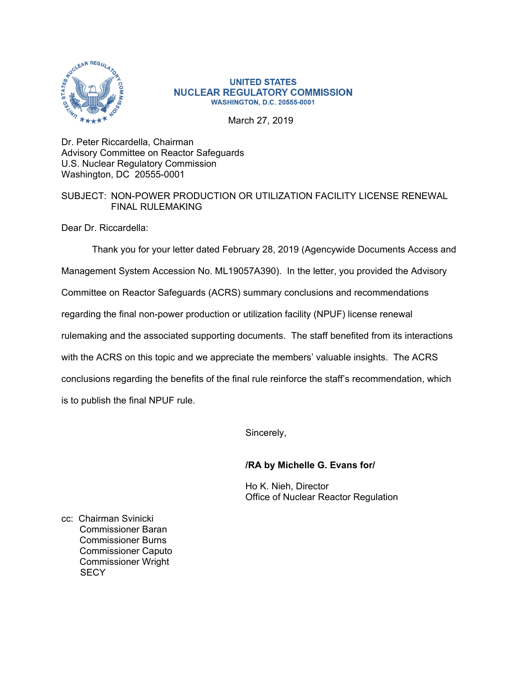

#### **UNITED STATES NUCLEAR REGULATORY COMMISSION WASHINGTON, D.C. 20555-0001**

March 27, 2019

Dr. Peter Riccardella, Chairman Advisory Committee on Reactor Safeguards U.S. Nuclear Regulatory Commission Washington, DC 20555-0001

#### SUBJECT: NON-POWER PRODUCTION OR UTILIZATION FACILITY LICENSE RENEWAL FINAL RULEMAKING

Dear Dr. Riccardella:

 Thank you for your letter dated February 28, 2019 (Agencywide Documents Access and Management System Accession No. ML19057A390). In the letter, you provided the Advisory Committee on Reactor Safeguards (ACRS) summary conclusions and recommendations regarding the final non-power production or utilization facility (NPUF) license renewal rulemaking and the associated supporting documents. The staff benefited from its interactions with the ACRS on this topic and we appreciate the members' valuable insights. The ACRS conclusions regarding the benefits of the final rule reinforce the staff's recommendation, which is to publish the final NPUF rule.

Sincerely,

## **/RA by Michelle G. Evans for/**

Ho K. Nieh, Director Office of Nuclear Reactor Regulation

cc: Chairman Svinicki Commissioner Baran Commissioner Burns Commissioner Caputo Commissioner Wright **SECY**